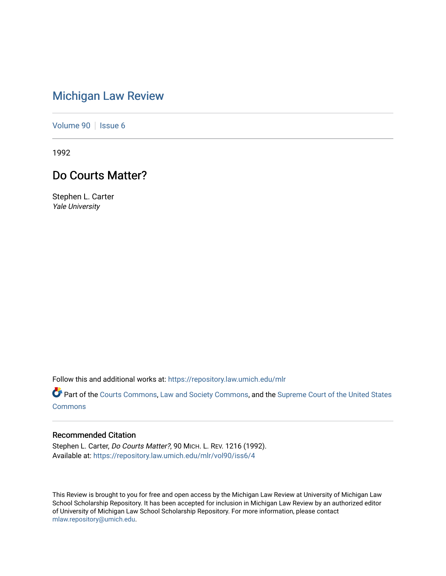## [Michigan Law Review](https://repository.law.umich.edu/mlr)

[Volume 90](https://repository.law.umich.edu/mlr/vol90) | [Issue 6](https://repository.law.umich.edu/mlr/vol90/iss6)

1992

## Do Courts Matter?

Stephen L. Carter Yale University

Follow this and additional works at: [https://repository.law.umich.edu/mlr](https://repository.law.umich.edu/mlr?utm_source=repository.law.umich.edu%2Fmlr%2Fvol90%2Fiss6%2F4&utm_medium=PDF&utm_campaign=PDFCoverPages) 

Part of the [Courts Commons,](http://network.bepress.com/hgg/discipline/839?utm_source=repository.law.umich.edu%2Fmlr%2Fvol90%2Fiss6%2F4&utm_medium=PDF&utm_campaign=PDFCoverPages) [Law and Society Commons](http://network.bepress.com/hgg/discipline/853?utm_source=repository.law.umich.edu%2Fmlr%2Fvol90%2Fiss6%2F4&utm_medium=PDF&utm_campaign=PDFCoverPages), and the Supreme Court of the United States [Commons](http://network.bepress.com/hgg/discipline/1350?utm_source=repository.law.umich.edu%2Fmlr%2Fvol90%2Fiss6%2F4&utm_medium=PDF&utm_campaign=PDFCoverPages)

## Recommended Citation

Stephen L. Carter, Do Courts Matter?, 90 MICH. L. REV. 1216 (1992). Available at: [https://repository.law.umich.edu/mlr/vol90/iss6/4](https://repository.law.umich.edu/mlr/vol90/iss6/4?utm_source=repository.law.umich.edu%2Fmlr%2Fvol90%2Fiss6%2F4&utm_medium=PDF&utm_campaign=PDFCoverPages)

This Review is brought to you for free and open access by the Michigan Law Review at University of Michigan Law School Scholarship Repository. It has been accepted for inclusion in Michigan Law Review by an authorized editor of University of Michigan Law School Scholarship Repository. For more information, please contact [mlaw.repository@umich.edu.](mailto:mlaw.repository@umich.edu)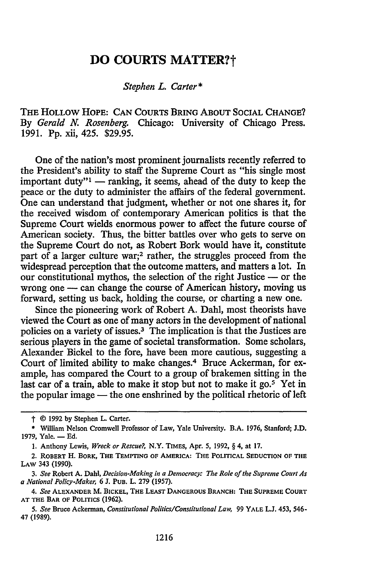## **DO COURTS MATTER?t**

*Stephen L. Carter\** 

THE HOLLOW HOPE: CAN COURTS BRING ABOUT SOCIAL CHANGE? By *Gerald* N. *Rosenberg.* Chicago: University of Chicago Press. 1991. Pp. xii, 425. \$29.95.

One of the nation's most prominent journalists recently referred to the President's ability to staff the Supreme Court as "his single most important duty" $\frac{1}{1}$  - ranking, it seems, ahead of the duty to keep the peace or the duty to administer the affairs of the federal government. One can understand that judgment, whether or not one shares it, for the received wisdom of contemporary American politics is that the Supreme Court wields enormous power to affect the future course of American society. Thus, the bitter battles over who gets to serve on the Supreme Court do not, as Robert Bork would have it, constitute part of a larger culture war;<sup>2</sup> rather, the struggles proceed from the widespread perception that the outcome matters, and matters a lot. In our constitutional mythos, the selection of the right Justice — or the wrong one  $-$  can change the course of American history, moving us forward, setting us back, holding the course, or charting a new one.

Since the pioneering work of Robert A. Dahl, most theorists have viewed the Court as one of many actors in the development of national policies on a variety of issues. 3 The implication is that the Justices are serious players in the game of societal transformation. Some scholars, Alexander Bickel to the fore, have been more cautious, suggesting a Court of limited ability to make changes.<sup>4</sup> Bruce Ackerman, for example, has compared the Court to a group of brakemen sitting in the last car of a train, able to make it stop but not to make it go. $5 \text{ Y}$ et in the popular image  $-$  the one enshrined by the political rhetoric of left

- 4. *See* ALEXANDER M. BICKEL, THE LEAST DANGEROUS BRANCH: THE SUPREME COURT AT THE BAR OF POLITICS (1962).
- 5. *See* Bruce Ackerman, *Constitutional Politics/Constitutional Law,* 99 YALE L.J. 453, 546- 47 (1989).

t © 1992 by Stephen L. Carter.

<sup>\*</sup> William Nelson Cromwell Professor of Law, Yale University. B.A. 1976, Stanford; J.D. 1979, Yale. - Ed.

<sup>1.</sup> Anthony Lewis, *Wreck or Rescue?,* N.Y. TIMES, Apr. 5, 1992, § 4, at 17.

<sup>2.</sup> ROBERT H. BORK, THE TEMPTING OF AMERICA: THE POLITICAL SEDUCTION OF THE LAW 343 (1990).

<sup>3.</sup> *See* Robert A. Dahl, *Decision-Making in a Democracy: The Role of the Supreme Court As a National Policy-Maker,* 6 J. PUB. L. 279 (1957).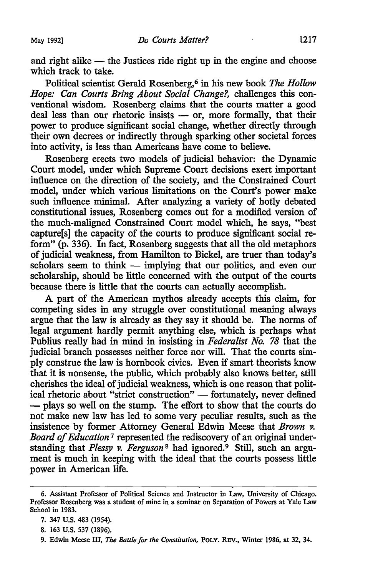and right alike  $-$  the Justices ride right up in the engine and choose which track to take.

Political scientist Gerald Rosenberg,<sup>6</sup> in his new book *The Hollow Hope: Can Courts Bring About Social Change?,* challenges this conventional wisdom. Rosenberg claims that the courts matter a good  $deal$  less than our rhetoric insists  $-$  or, more formally, that their power to produce significant social change, whether directly through their own decrees or indirectly through sparking other societal forces into activity, is less than Americans have come to believe.

Rosenberg erects two models of judicial behavior: the Dynamic Court model, under which Supreme Court decisions exert important influence on the direction of the society, and the Constrained Court model, under which various limitations on the Court's power make such influence minimal. After analyzing a variety of hotly debated constitutional issues, Rosenberg comes out for a modified version of the much-maligned Constrained Court model which, he says, "best capture[s] the capacity of the courts to produce significant social reform" (p. 336). In fact, Rosenberg suggests that all the old metaphors of judicial weakness, from Hamilton to Bickel, are truer than today's scholars seem to think - implying that our politics, and even our scholarship, should be little concerned with the output of the courts because there is little that the courts can actually accomplish.

A part of the American mythos already accepts this claim, for competing sides in any struggle over constitutional meaning always argue that the law is already as they say it should be. The norms of legal argument hardly permit anything else, which is perhaps what Publius really had in mind in insisting in *Federalist No. 78* that the judicial branch possesses neither force nor will. That the courts simply construe the law is hornbook civics. Even if smart theorists know that it is nonsense, the public, which probably also knows better, still cherishes the ideal of judicial weakness, which is one reason that political rhetoric about "strict construction" - fortunately, never defined - plays so well on the stump. The effort to show that the courts do not make new law has led to some very peculiar results, such as the insistence by former Attorney General Edwin Meese that *Brown v. Board of Education* 7 represented the rediscovery of an original understanding that *Plessy v. Ferguson* s had ignored.9 Still, such an argument is much in keeping with the ideal that the courts possess little power in American life.

<sup>6.</sup> Assistant Professor of Political Science and Instructor in Law, University of Chicago. Professor Rosenberg was a student of mine in a seminar on Separation of Powers at Yale Law School in 1983.

<sup>7. 347</sup> U.S. 483 (1954).

<sup>8. 163</sup> U.S. 537 (1896).

<sup>9.</sup> Edwin Meese III, *The Battle for the Constitution,* POLY. REv., Winter 1986, at 32, 34.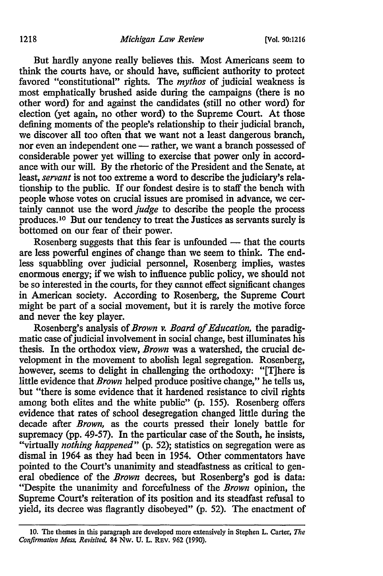But hardly anyone really believes this. Most Americans seem to think the courts have, or should have, sufficient authority to protect favored "constitutional" rights. The *mythos* of judicial weakness is most emphatically brushed aside during the campaigns (there is no other word) for and against the candidates (still no other word) for election (yet again, no other word) to the Supreme Court. At those defining moments of the people's relationship to their judicial branch, we discover all too often that we want not a least dangerous branch, nor even an independent one - rather, we want a branch possessed of considerable power yet willing to exercise that power only in accordance with our will. By the rhetoric of the President and the Senate, at least, *servant* is not too extreme a word to describe the judiciary's relationship to the public. If our fondest desire is to staff the bench with people whose votes on crucial issues are promised in advance, we certainly cannot use the word *judge* to describe the people the process produces. 10 But our tendency to treat the Justices as servants surely is bottomed on our fear of their power.

Rosenberg suggests that this fear is unfounded  $-$  that the courts are less powerful engines of change than we seem to think. The endless squabbling over judicial personnel, Rosenberg implies, wastes enormous energy; if we wish to influence public policy, we should not be so interested in the courts, for they cannot effect significant changes in American society. According to Rosenberg, the Supreme Court might be part of a social movement, but it is rarely the motive force and never the key player.

Rosenberg's analysis of *Brown v. Board of Education,* the paradigmatic case of judicial involvement in social change, best illuminates his thesis. In the orthodox view, *Brown* was a watershed, the crucial development in the movement to abolish legal segregation. Rosenberg, however, seems to delight in challenging the orthodoxy: "[T]here is little evidence that *Brown* helped produce positive change," he tells us, but "there is some evidence that it hardened resistance to civil rights among both elites and the white public" (p. 155). Rosenberg offers evidence that rates of school desegregation changed little during the decade after *Brown,* as the courts pressed their lonely battle for supremacy (pp. 49-57). In the particular case of the South, he insists, "virtually *nothing happened"* (p. 52); statistics on segregation were as dismal in 1964 as they had been in 1954. Other commentators have pointed to the Court's unanimity and steadfastness as critical to general obedience of the *Brown* decrees, but Rosenberg's god is data: "Despite the unanimity and forcefulness of the *Brown* opinion, the Supreme Court's reiteration of its position and its steadfast refusal to yield, its decree was flagrantly disobeyed" (p. 52). The enactment of

<sup>10.</sup> The themes in this paragraph are developed more extensively in Stephen L. Carter, *The Confirmation Mess, Revisited,* 84 Nw. U. L. R.Ev. 962 (1990).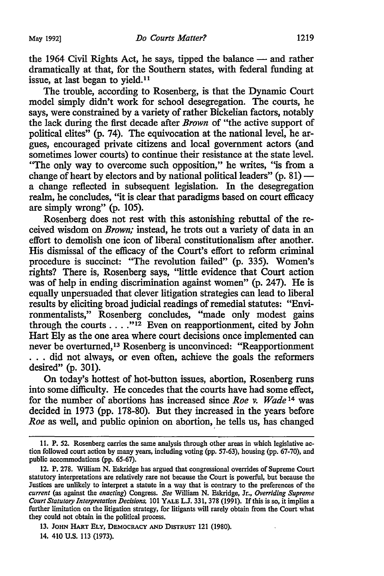the 1964 Civil Rights Act, he says, tipped the balance  $-$  and rather dramatically at that, for the Southern states, with federal funding at issue, at last began to vield.<sup>11</sup>

The trouble, according to Rosenberg, is that the Dynamic Court model simply didn't work for school desegregation. The courts, he says, were constrained by a variety of rather Bickelian factors, notably the lack during the first decade after *Brown* of "the active support of political elites" (p. 74). The equivocation at the national level, he argues, encouraged private citizens and local government actors (and sometimes lower courts) to continue their resistance at the state level. "The only way to overcome such opposition," he writes, "is from a change of heart by electors and by national political leaders"  $(p. 81)$  a change reflected in subsequent legislation. In the desegregation realm, he concludes, "it is clear that paradigms based on court efficacy are simply wrong" (p. 105).

Rosenberg does not rest with this astonishing rebuttal of the received wisdom on *Brown*; instead, he trots out a variety of data in an effort to demolish one icon of liberal constitutionalism after another. His dismissal of the efficacy of the Court's effort to reform criminal procedure is succinct: "The revolution failed" (p. 335). Women's rights? There is, Rosenberg says, "little evidence that Court action was of help in ending discrimination against women" (p. 247). He is equally unpersuaded that clever litigation strategies can lead to liberal results by eliciting broad judicial readings of remedial statutes: "Environmentalists," Rosenberg concludes, "made only modest gains through the courts  $\dots$ ."<sup>12</sup> Even on reapportionment, cited by John Hart Ely as the one area where court decisions once implemented can never be overturned, 13 Rosenberg is unconvinced: "Reapportionment . . . did not always, or even often, achieve the goals the reformers desired" (p. 301).

On today's hottest of hot-button issues, abortion, Rosenberg runs into some difficulty. He concedes that the courts have had some effect, for the number of abortions has increased since *Roe v. Wade* 14 was decided in 1973 (pp. 178-80). But they increased in the years before *Roe* as well, and public opinion on abortion, he tells us, has changed

13. JOHN HART ELY, DEMOCRACY AND DISTRUST 121 (1980).

14. 410 U.S. 113 (1973).

<sup>11.</sup> P. 52. Rosenberg carries the same analysis through other areas in which legislative action followed court action by many years, including voting (pp. 57-63), housing (pp. 67-70), and public accommodations (pp. 65-67).

<sup>12.</sup> P. 278. William N. Eskridge has argued that congressional overrides of Supreme Court statutory interpretations are relatively rare not because the Court is powerful, but because the Justices are unlikely to interpret a statute in a way that is contrary to the preferences of the *current* (as against the *enacting)* Congress. *See* William N. Eskridge, Jr., *Overriding Supreme Court Statutory Interpretation Decisions,* 101 YALE L.J. 331, 378 (1991). If this is so, it implies a further limitation on the litigation strategy, for litigants will rarely obtain from the Court what they could not obtain in the political process.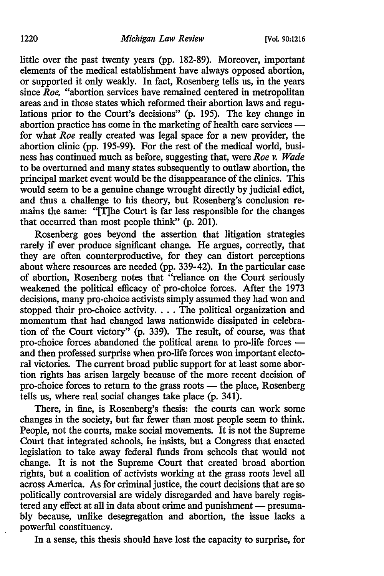little over the past twenty years (pp. 182-89). Moreover, important elements of the medical establishment have always opposed abortion, or supported it only weakly. In fact, Rosenberg tells us, in the years since *Roe*, "abortion services have remained centered in metropolitan areas and in those states which reformed their abortion laws and regulations prior to the Court's decisions" (p. 195). The key change in abortion practice has come in the marketing of health care services  $$ for what *Roe* really created was legal space for a new provider, the abortion clinic (pp. 195-99). For the rest of the medical world, business has continued much as before, suggesting that, were *Roe v. Wade*  to be overturned and many states subsequently to outlaw abortion, the principal market event would be the disappearance of the clinics. This would seem to be a genuine change wrought directly by judicial edict, and thus a challenge to his theory, but Rosenberg's conclusion remains the same: "[T]he Court is far less responsible for the changes that occurred than most people think" (p. 201).

Rosenberg goes beyond the assertion that litigation strategies rarely if ever produce significant change. He argues, correctly, that they are often counterproductive, for they can distort perceptions about where resources are needed (pp. 339-42). In the particular case of abortion, Rosenberg notes that "reliance on the Court seriously weakened the political efficacy of pro-choice forces. After the 1973 decisions, many pro-choice activists simply assumed they had won and stopped their pro-choice activity.  $\ldots$  The political organization and momentum that had changed laws nationwide dissipated in celebration of the Court victory" (p. 339). The result, of course, was that pro-choice forces abandoned the political arena to pro-life forces and then professed surprise when pro-life forces won important electoral victories. The current broad public support for at least some abortion rights has arisen largely because of the more recent decision of pro-choice forces to return to the grass roots - the place, Rosenberg tells us, where real social changes take place (p. 341).

There, in fine, is Rosenberg's thesis: the courts can work some changes in the society, but far fewer than most people seem to think. People, not the courts, make social movements. It is not the Supreme Court that integrated schools, he insists, but a Congress that enacted legislation to take away federal funds from schools that would not change. It is not the Supreme Court that created broad abortion rights, but a coalition of activists working at the grass roots level all across America. As for criminal justice, the court decisions that are so politically controversial are widely disregarded and have barely registered any effect at all in data about crime and punishment - presumably because, unlike desegregation and abortion, the issue lacks a powerful constituency.

In a sense, this thesis should have lost the capacity to surprise, for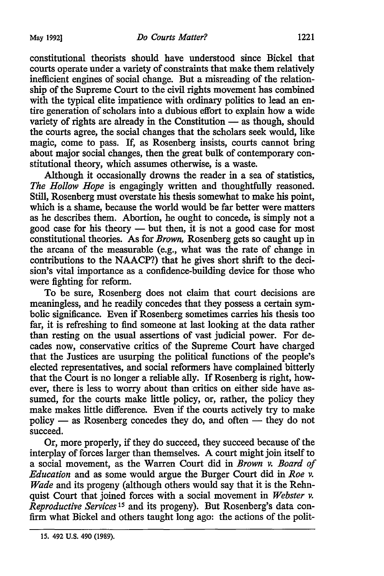constitutional theorists should have understood since Bickel that courts operate under a variety of constraints that make them relatively inefficient engines of social change. But a misreading of the relationship of the Supreme Court to the civil rights movement has combined with the typical elite impatience with ordinary politics to lead an entire generation of scholars into a dubious effort to explain how a wide variety of rights are already in the Constitution  $-$  as though, should the courts agree, the social changes that the scholars seek would, like magic, come to pass. If, as Rosenberg insists, courts cannot bring about major social changes, then the great bulk of contemporary constitutional theory, which assumes otherwise, is a waste.

Although it occasionally drowns the reader in a sea of statistics, *The Hollow Hope* is engagingly written and thoughtfully reasoned. Still, Rosenberg must overstate his thesis somewhat to make his point, which is a shame, because the world would be far better were matters as he describes them. Abortion, he ought to concede, is simply not a good case for his theory  $-$  but then, it is not a good case for most constitutional theories. As for *Brown,* Rosenberg gets so caught up in the arcana of the measurable (e.g., what was the rate of change in contributions to the NAACP?) that he gives short shrift to the decision's vital importance as a confidence-building device for those who were fighting for reform.

To be sure, Rosenberg does not claim that court decisions are meaningless, and he readily concedes that they possess a certain symbolic significance. Even if Rosenberg sometimes carries his thesis too far, it is refreshing to find someone at last looking at the data rather than resting on the usual assertions of vast judicial power. For decades now, conservative critics of the Supreme Court have charged that the Justices are usurping the political functions of the people's elected representatives, and social reformers have complained bitterly that the Court is no longer a reliable ally. If Rosenberg is right, however, there is less to worry about than critics on either side have assumed, for the courts make little policy, or, rather, the policy they make makes little difference. Even if the courts actively try to make policy  $-$  as Rosenberg concedes they do, and often  $-$  they do not succeed.

Or, more properly, if they do succeed, they succeed because of the interplay of forces larger than themselves. A court might join itself to a social movement, as the Warren Court did in *Brown v. Board of Education* and as some would argue the Burger Court did in *Roe v. Wade* and its progeny (although others would say that it is the Rehnquist Court that joined forces with a social movement in *Webster v. Reproductive Services* 15 and its progeny). But Rosenberg's data confirm what Bickel and others taught long ago: the actions of the polit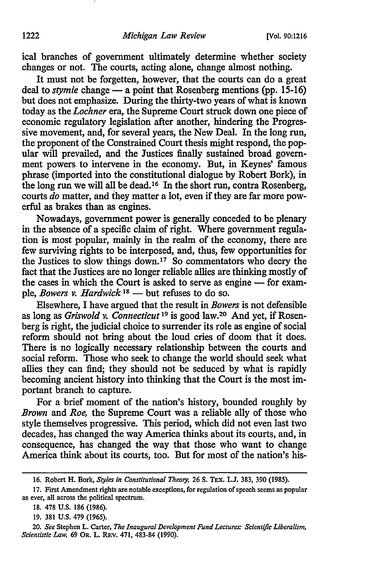ical branches of government ultimately determine whether society changes or not. The courts, acting alone, change almost nothing.

It must not be forgetten, however, that the courts can do a great deal to *stymie* change — a point that Rosenberg mentions (pp. 15-16) but does not emphasize. During the thirty-two years of what is known today as the *Lochner* era, the Supreme Court struck down one piece of economic regulatory legislation after another, hindering the Progressive movement, and, for several years, the New Deal. In the long run, the proponent of the Constrained Court thesis might respond, the popular will prevailed, and the Justices finally sustained broad government powers to intervene in the economy. But, in Keynes' famous phrase (imported into the constitutional dialogue by Robert Bork), in the long run we will all be dead. 16 In the short run, contra Rosenberg, courts *do* matter, and they matter a lot, even if they are far more powerful as brakes than as engines.

Nowadays, government power is generally conceded to be plenary in the absence of a specific claim of right. Where government regulation is most popular, mainly in the realm of the economy, there are few surviving rights to be interposed, and, thus, few opportunities for the Justices to slow things down.17 So commentators who decry the fact that the Justices are no longer reliable allies are thinking mostly of the cases in which the Court is asked to serve as engine - for example, *Bowers v. Hardwick*<sup>18</sup> - but refuses to do so.

Elsewhere, I have argued that the result in *Bowers* is not defensible as long as *Griswold v. Connecticut* 19 is good law.20 And yet, if Rosenberg is right, the judicial choice to surrender its role as engine of social reform should not bring about the loud cries of doom that it does. There is no logically necessary relationship between the courts and social reform. Those who seek to change the world should seek what allies they can find; they should not be seduced by what is rapidly becoming ancient history into thinking that the Court is the most important branch to capture.

For a brief moment of the nation's history, bounded roughly by *Brown* and *Roe,* the Supreme Court was a reliable ally of those who style themselves progressive. This period, which did not even last two decades, has changed the way America thinks about its courts, and, in consequence, has changed the way that those who want to change America think about its courts, too. But for most of the nation's his-

<sup>16.</sup> Robert H. Bork, *Styles in Constitutional Theory,* 26 S. TEX. L.J. 383, 390 (1985).

<sup>17.</sup> First Amendment rights are notable exceptions, for regulation of speech seems as popular as ever, all across the political spectrum.

<sup>18. 478</sup> U.S. 186 (1986).

<sup>19. 381</sup> U.S. 479 (1965).

<sup>20.</sup> *See* Stephen L. Carter, *The Inaugural Development Fund Lectures: Scientific Liberalism, Scientistic Law,* 69 OR. L. REV. 471, 483-84 (1990).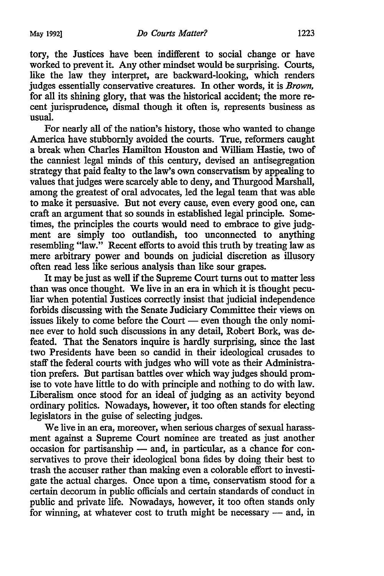tory, the Justices have been indifferent to social change or have worked to prevent it. Any other mindset would be surprising. Courts, like the law they interpret, are backward-looking, which renders judges essentially conservative creatures. In other words, it is *Brown,*  for all its shining glory, that was the historical accident; the more recent jurisprudence, dismal though it often is, represents business as usual.

For nearly all of the nation's history, those who wanted to change America have stubbornly avpided the courts. True, reformers caught a break when Charles Hamilton Houston and William Hastie, two of the canniest legal minds of this century, devised an antisegregation strategy that paid fealty to the law's own conservatism by appealing to values that judges were scarcely able to deny, and Thurgood Marshall, among the greatest of oral advocates, led the legal team that was able to make it persuasive. But not every cause, even every good one, can craft an argument that so sounds in established legal principle. Sometimes, the principles the courts would need to embrace to give judgment are simply too outlandish, too unconnected to anything resembling "law." Recent efforts to avoid this truth by treating law as mere arbitrary power and bounds on judicial discretion as illusory often read less like serious analysis than like sour grapes.

It may be just as well if the Supreme Court turns out to matter less than was once thought. We live in an era in which it is thought peculiar when potential Justices correctly insist that judicial independence forbids discussing with the Senate Judiciary Committee their views on issues likely to come before the Court  $-$  even though the only nominee ever to hold such discussions in any detail, Robert Bork, was defeated. That the Senators inquire is hardly surprising, since the last two Presidents have been so candid in their ideological crusades to staff the federal courts with judges who will vote as their Administration prefers. But partisan battles over which way judges should promise to vote have little to do with principle and nothing to do with law. Liberalism once stood for an ideal of judging as an activity beyond ordinary politics. Nowadays, however, it too often stands for electing legislators in the guise of selecting judges.

We live in an era, moreover, when serious charges of sexual harassment against a Supreme Court nominee are treated as just another  $\alpha$  occasion for partisanship  $-$  and, in particular, as a chance for conservatives to prove their ideological bona tides by doing their best to trash the accuser rather than making even a colorable effort to investigate the actual charges. Once upon a time, conservatism stood for a certain decorum in public officials and certain standards of conduct in public and private life. Nowadays, however, it too often stands only for winning, at whatever cost to truth might be necessary  $-$  and, in